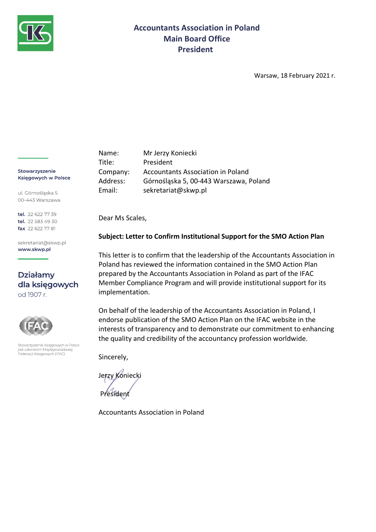

# **Accountants Association in Poland Main Board Office President**

Warsaw, 18 February 2021 r.

Stowarzyszenie Księgowych w Polsce

ul. Górnośląska 5 00-443 Warszawa

tel. 22 622 77 39 tel. 22 583 49 30 fax 22 622 77 81

sekretariat@skwp.pl www.skwp.pl

## Działamy dla księgowych od 1907 r.



Stowarzyszenie Księgowych w Polsce<br>jest członkiem Międzynarodowej Federacji Księgowych (IFAC)

Name: Mr Jerzy Koniecki Title: President Company: Accountants Association in Poland Address: Górnośląska 5, 00-443 Warszawa, Poland Email: sekretariat@skwp.pl

Dear Ms Scales,

## **Subject: Letter to Confirm Institutional Support for the SMO Action Plan**

This letter is to confirm that the leadership of the Accountants Association in Poland has reviewed the information contained in the SMO Action Plan prepared by the Accountants Association in Poland as part of the IFAC Member Compliance Program and will provide institutional support for its implementation.

On behalf of the leadership of the Accountants Association in Poland, I endorse publication of the SMO Action Plan on the IFAC website in the interests of transparency and to demonstrate our commitment to enhancing the quality and credibility of the accountancy profession worldwide.

Sincerely,

Jerzy Koniecki President

Accountants Association in Poland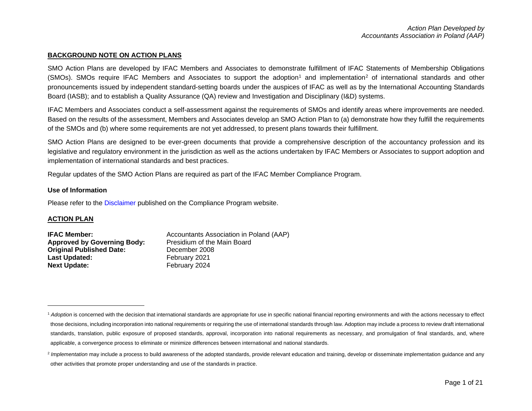#### <span id="page-1-1"></span><span id="page-1-0"></span>**BACKGROUND NOTE ON ACTION PLANS**

SMO Action Plans are developed by IFAC Members and Associates to demonstrate fulfillment of IFAC Statements of Membership Obligations (SMOs). SMOs require IFAC Members and Associates to support the adoption<sup>[1](#page-1-0)</sup> and implementation<sup>[2](#page-1-1)</sup> of international standards and other pronouncements issued by independent standard-setting boards under the auspices of IFAC as well as by the International Accounting Standards Board (IASB); and to establish a Quality Assurance (QA) review and Investigation and Disciplinary (I&D) systems.

IFAC Members and Associates conduct a self-assessment against the requirements of SMOs and identify areas where improvements are needed. Based on the results of the assessment, Members and Associates develop an SMO Action Plan to (a) demonstrate how they fulfill the requirements of the SMOs and (b) where some requirements are not yet addressed, to present plans towards their fulfillment.

SMO Action Plans are designed to be ever-green documents that provide a comprehensive description of the accountancy profession and its legislative and regulatory environment in the jurisdiction as well as the actions undertaken by IFAC Members or Associates to support adoption and implementation of international standards and best practices.

Regular updates of the SMO Action Plans are required as part of the IFAC Member Compliance Program.

#### **Use of Information**

Please refer to the [Disclaimer](http://www.ifac.org/about-ifac/membership/members/disclaimer) published on the Compliance Program website.

#### **ACTION PLAN**

| <b>IFAC Member:</b>                | Accountants Association in Poland (AAP) |
|------------------------------------|-----------------------------------------|
| <b>Approved by Governing Body:</b> | Presidium of the Main Board             |
| <b>Original Published Date:</b>    | December 2008                           |
| <b>Last Updated:</b>               | February 2021                           |
| <b>Next Update:</b>                | February 2024                           |

<sup>&</sup>lt;sup>1</sup> Adoption is concerned with the decision that international standards are appropriate for use in specific national financial reporting environments and with the actions necessary to effect those decisions, including incorporation into national requirements or requiring the use of international standards through law. Adoption may include a process to review draft international standards, translation, public exposure of proposed standards, approval, incorporation into national requirements as necessary, and promulgation of final standards, and, where applicable, a convergence process to eliminate or minimize differences between international and national standards.

<sup>&</sup>lt;sup>2</sup> Implementation may include a process to build awareness of the adopted standards, provide relevant education and training, develop or disseminate implementation guidance and any other activities that promote proper understanding and use of the standards in practice.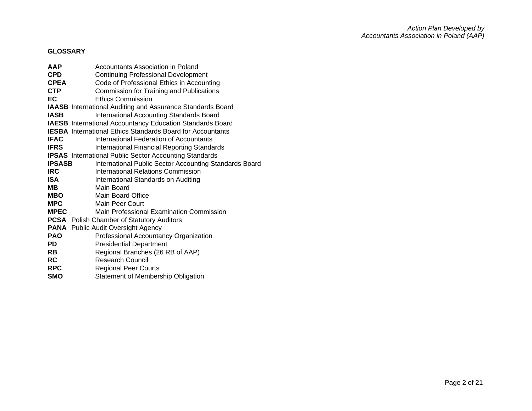## **GLOSSARY**

| <b>AAP</b>    | Accountants Association in Poland                                 |
|---------------|-------------------------------------------------------------------|
| <b>CPD</b>    | <b>Continuing Professional Development</b>                        |
| <b>CPEA</b>   | Code of Professional Ethics in Accounting                         |
| <b>CTP</b>    | Commission for Training and Publications                          |
| EC.           | Ethics Commission                                                 |
|               | <b>IAASB</b> International Auditing and Assurance Standards Board |
| <b>IASB</b>   | International Accounting Standards Board                          |
|               | <b>IAESB</b> International Accountancy Education Standards Board  |
|               | <b>IESBA</b> International Ethics Standards Board for Accountants |
| <b>IFAC</b>   | International Federation of Accountants                           |
| <b>IFRS</b>   | <b>International Financial Reporting Standards</b>                |
|               | <b>IPSAS</b> International Public Sector Accounting Standards     |
| <b>IPSASB</b> | International Public Sector Accounting Standards Board            |
| <b>IRC</b>    | International Relations Commission                                |
| <b>ISA</b>    | International Standards on Auditing                               |
| <b>MB</b>     | Main Board                                                        |
| MBO           | Main Board Office                                                 |
| <b>MPC</b>    | Main Peer Court                                                   |
| <b>MPEC</b>   | Main Professional Examination Commission                          |
|               | <b>PCSA</b> Polish Chamber of Statutory Auditors                  |
|               | <b>PANA</b> Public Audit Oversight Agency                         |
| <b>PAO</b>    | Professional Accountancy Organization                             |
| <b>PD</b>     | <b>Presidential Department</b>                                    |
| RB.           | Regional Branches (26 RB of AAP)                                  |
| <b>RC</b>     | <b>Research Council</b>                                           |
| <b>RPC</b>    | <b>Regional Peer Courts</b>                                       |
| <b>SMO</b>    | Statement of Membership Obligation                                |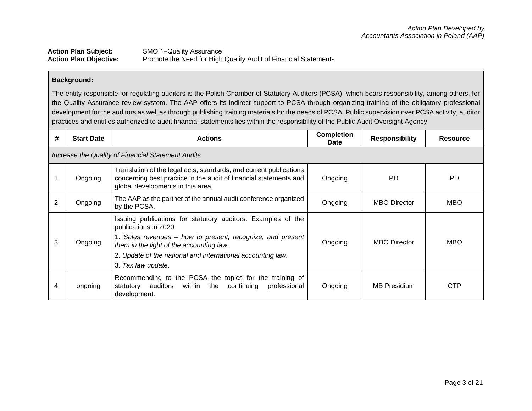| <b>Action Plan Subject:</b>   | SMO 1-Quality Assurance                                         |
|-------------------------------|-----------------------------------------------------------------|
| <b>Action Plan Objective:</b> | Promote the Need for High Quality Audit of Financial Statements |

## **Background:**

The entity responsible for regulating auditors is the Polish Chamber of Statutory Auditors (PCSA), which bears responsibility, among others, for the Quality Assurance review system. The AAP offers its indirect support to PCSA through organizing training of the obligatory professional development for the auditors as well as through publishing training materials for the needs of PCSA. Public supervision over PCSA activity, auditor practices and entities authorized to audit financial statements lies within the responsibility of the Public Audit Oversight Agency.

| #  | <b>Start Date</b> | <b>Actions</b>                                                                                                                                                                                                                                                                       | <b>Completion</b><br>Date | <b>Responsibility</b> | <b>Resource</b> |
|----|-------------------|--------------------------------------------------------------------------------------------------------------------------------------------------------------------------------------------------------------------------------------------------------------------------------------|---------------------------|-----------------------|-----------------|
|    |                   | Increase the Quality of Financial Statement Audits                                                                                                                                                                                                                                   |                           |                       |                 |
| 1. | Ongoing           | Translation of the legal acts, standards, and current publications<br>concerning best practice in the audit of financial statements and<br>global developments in this area.                                                                                                         | Ongoing                   | <b>PD</b>             | PD.             |
| 2. | Ongoing           | The AAP as the partner of the annual audit conference organized<br>by the PCSA.                                                                                                                                                                                                      | Ongoing                   | <b>MBO Director</b>   | <b>MBO</b>      |
| 3. | Ongoing           | Issuing publications for statutory auditors. Examples of the<br>publications in 2020:<br>1. Sales revenues – how to present, recognize, and present<br>them in the light of the accounting law.<br>2. Update of the national and international accounting law.<br>3. Tax law update. | Ongoing                   | <b>MBO</b> Director   | <b>MBO</b>      |
| 4. | ongoing           | Recommending to the PCSA the topics for the training of<br>auditors within the<br>continuing<br>professional<br>statutory<br>development.                                                                                                                                            | Ongoing                   | <b>MB Presidium</b>   | <b>CTP</b>      |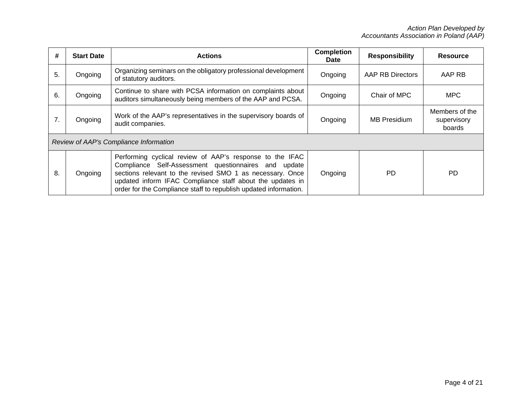| #  | <b>Start Date</b>                      | <b>Actions</b>                                                                                                                                                                                                                                                                                                 | <b>Completion</b><br><b>Date</b> | <b>Responsibility</b> | <b>Resource</b>                         |
|----|----------------------------------------|----------------------------------------------------------------------------------------------------------------------------------------------------------------------------------------------------------------------------------------------------------------------------------------------------------------|----------------------------------|-----------------------|-----------------------------------------|
| 5. | Ongoing                                | Organizing seminars on the obligatory professional development<br>of statutory auditors.                                                                                                                                                                                                                       | Ongoing                          | AAP RB Directors      | AAP RB                                  |
| 6. | Ongoing                                | Continue to share with PCSA information on complaints about<br>auditors simultaneously being members of the AAP and PCSA.                                                                                                                                                                                      | Ongoing                          | Chair of MPC          | <b>MPC</b>                              |
| 7. | Ongoing                                | Work of the AAP's representatives in the supervisory boards of<br>audit companies.                                                                                                                                                                                                                             | Ongoing                          | <b>MB Presidium</b>   | Members of the<br>supervisory<br>boards |
|    | Review of AAP's Compliance Information |                                                                                                                                                                                                                                                                                                                |                                  |                       |                                         |
| 8. | Ongoing                                | Performing cyclical review of AAP's response to the IFAC<br>Compliance Self-Assessment questionnaires and update<br>sections relevant to the revised SMO 1 as necessary. Once<br>updated inform IFAC Compliance staff about the updates in<br>order for the Compliance staff to republish updated information. | Ongoing                          | PD                    | PD.                                     |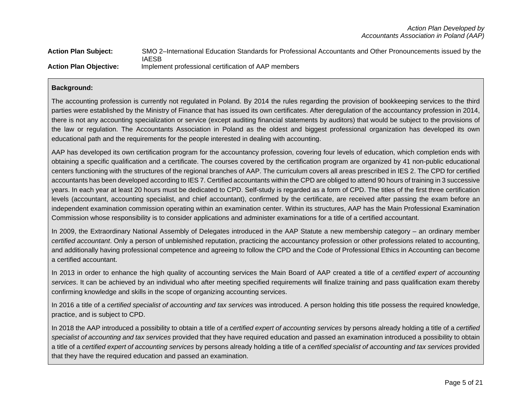| <b>Action Plan Subject:</b>   | SMO 2-International Education Standards for Professional Accountants and Other Pronouncements issued by the |
|-------------------------------|-------------------------------------------------------------------------------------------------------------|
|                               | <b>IAESB</b>                                                                                                |
| <b>Action Plan Objective:</b> | Implement professional certification of AAP members                                                         |

#### **Background:**

The accounting profession is currently not regulated in Poland. By 2014 the rules regarding the provision of bookkeeping services to the third parties were established by the Ministry of Finance that has issued its own certificates. After deregulation of the accountancy profession in 2014, there is not any accounting specialization or service (except auditing financial statements by auditors) that would be subject to the provisions of the law or regulation. The Accountants Association in Poland as the oldest and biggest professional organization has developed its own educational path and the requirements for the people interested in dealing with accounting.

AAP has developed its own certification program for the accountancy profession, covering four levels of education, which completion ends with obtaining a specific qualification and a certificate. The courses covered by the certification program are organized by 41 non-public educational centers functioning with the structures of the regional branches of AAP. The curriculum covers all areas prescribed in IES 2. The CPD for certified accountants has been developed according to IES 7. Certified accountants within the CPD are obliged to attend 90 hours of training in 3 successive years. In each year at least 20 hours must be dedicated to CPD. Self-study is regarded as a form of CPD. The titles of the first three certification levels (accountant, accounting specialist, and chief accountant), confirmed by the certificate, are received after passing the exam before an independent examination commission operating within an examination center. Within its structures, AAP has the Main Professional Examination Commission whose responsibility is to consider applications and administer examinations for a title of a certified accountant.

In 2009, the Extraordinary National Assembly of Delegates introduced in the AAP Statute a new membership category – an ordinary member *certified accountant*. Only a person of unblemished reputation, practicing the accountancy profession or other professions related to accounting, and additionally having professional competence and agreeing to follow the CPD and the Code of Professional Ethics in Accounting can become a certified accountant.

In 2013 in order to enhance the high quality of accounting services the Main Board of AAP created a title of a *certified expert of accounting services*. It can be achieved by an individual who after meeting specified requirements will finalize training and pass qualification exam thereby confirming knowledge and skills in the scope of organizing accounting services.

In 2016 a title of a *certified specialist of accounting and tax services* was introduced. A person holding this title possess the required knowledge, practice, and is subject to CPD.

In 2018 the AAP introduced a possibility to obtain a title of a *certified expert of accounting services* by persons already holding a title of a *certified specialist of accounting and tax services* provided that they have required education and passed an examination introduced a possibility to obtain a title of a *certified expert of accounting services* by persons already holding a title of a *certified specialist of accounting and tax services* provided that they have the required education and passed an examination.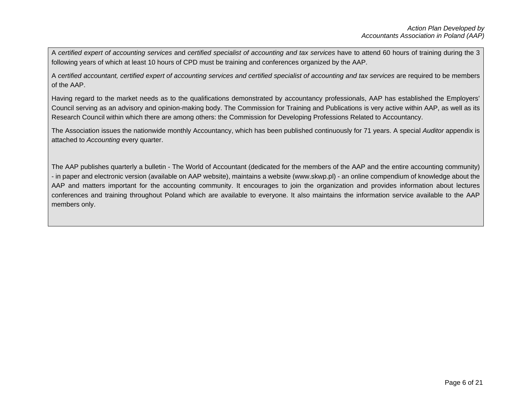A *certified expert of accounting services* and *certified specialist of accounting and tax services* have to attend 60 hours of training during the 3 following years of which at least 10 hours of CPD must be training and conferences organized by the AAP.

A *certified accountant, certified expert of accounting services and certified specialist of accounting and tax services* are required to be members of the AAP.

Having regard to the market needs as to the qualifications demonstrated by accountancy professionals, AAP has established the Employers' Council serving as an advisory and opinion-making body. The Commission for Training and Publications is very active within AAP, as well as its Research Council within which there are among others: the Commission for Developing Professions Related to Accountancy.

The Association issues the nationwide monthly Accountancy, which has been published continuously for 71 years. A special *Auditor* appendix is attached to *Accounting* every quarter.

The AAP publishes quarterly a bulletin - The World of Accountant (dedicated for the members of the AAP and the entire accounting community) - in paper and electronic version (available on AAP website), maintains a website (www.skwp.pl) - an online compendium of knowledge about the AAP and matters important for the accounting community. It encourages to join the organization and provides information about lectures conferences and training throughout Poland which are available to everyone. It also maintains the information service available to the AAP members only.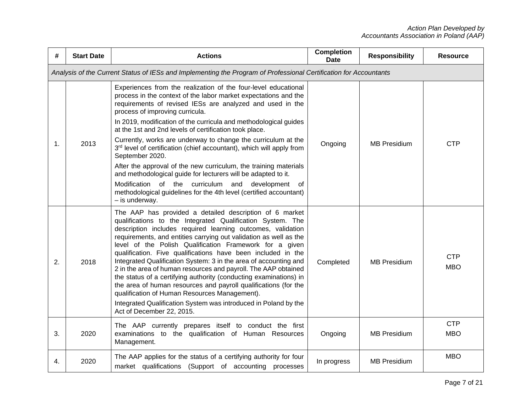| #             | <b>Start Date</b> | <b>Actions</b>                                                                                                                                                                                                                                                                                                                                                                                                                                                                                                                                                                                                                                                                                                                                                                                                      | <b>Completion</b><br><b>Date</b> | <b>Responsibility</b> | <b>Resource</b>          |
|---------------|-------------------|---------------------------------------------------------------------------------------------------------------------------------------------------------------------------------------------------------------------------------------------------------------------------------------------------------------------------------------------------------------------------------------------------------------------------------------------------------------------------------------------------------------------------------------------------------------------------------------------------------------------------------------------------------------------------------------------------------------------------------------------------------------------------------------------------------------------|----------------------------------|-----------------------|--------------------------|
|               |                   | Analysis of the Current Status of IESs and Implementing the Program of Professional Certification for Accountants                                                                                                                                                                                                                                                                                                                                                                                                                                                                                                                                                                                                                                                                                                   |                                  |                       |                          |
| $\mathbf 1$ . | 2013              | Experiences from the realization of the four-level educational<br>process in the context of the labor market expectations and the<br>requirements of revised IESs are analyzed and used in the<br>process of improving curricula.<br>In 2019, modification of the curricula and methodological guides<br>at the 1st and 2nd levels of certification took place.<br>Currently, works are underway to change the curriculum at the<br>3rd level of certification (chief accountant), which will apply from<br>September 2020.<br>After the approval of the new curriculum, the training materials                                                                                                                                                                                                                     | Ongoing                          | <b>MB Presidium</b>   | <b>CTP</b>               |
|               |                   | and methodological guide for lecturers will be adapted to it.<br>Modification of the curriculum and development of<br>methodological guidelines for the 4th level (certified accountant)<br>- is underway.                                                                                                                                                                                                                                                                                                                                                                                                                                                                                                                                                                                                          |                                  |                       |                          |
| 2.            | 2018              | The AAP has provided a detailed description of 6 market<br>qualifications to the Integrated Qualification System. The<br>description includes required learning outcomes, validation<br>requirements, and entities carrying out validation as well as the<br>level of the Polish Qualification Framework for a given<br>qualification. Five qualifications have been included in the<br>Integrated Qualification System: 3 in the area of accounting and<br>2 in the area of human resources and payroll. The AAP obtained<br>the status of a certifying authority (conducting examinations) in<br>the area of human resources and payroll qualifications (for the<br>qualification of Human Resources Management).<br>Integrated Qualification System was introduced in Poland by the<br>Act of December 22, 2015. | Completed                        | <b>MB Presidium</b>   | <b>CTP</b><br><b>MBO</b> |
| 3.            | 2020              | The AAP currently prepares itself to conduct the first<br>examinations to the qualification of Human Resources<br>Management.                                                                                                                                                                                                                                                                                                                                                                                                                                                                                                                                                                                                                                                                                       | Ongoing                          | <b>MB Presidium</b>   | <b>CTP</b><br><b>MBO</b> |
| 4.            | 2020              | The AAP applies for the status of a certifying authority for four<br>market qualifications (Support of accounting processes                                                                                                                                                                                                                                                                                                                                                                                                                                                                                                                                                                                                                                                                                         | In progress                      | <b>MB Presidium</b>   | <b>MBO</b>               |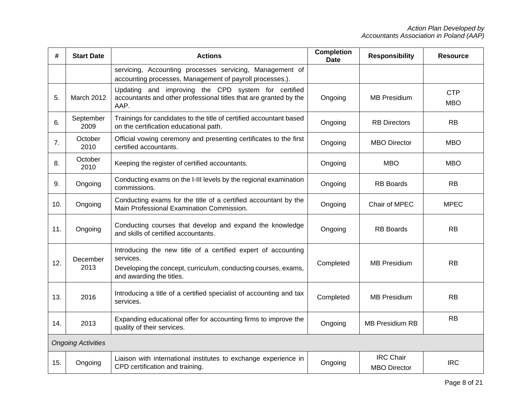| #   | <b>Start Date</b>         | <b>Actions</b>                                                                                                                                                           | <b>Completion</b><br><b>Date</b> | <b>Responsibility</b>                   | <b>Resource</b>          |
|-----|---------------------------|--------------------------------------------------------------------------------------------------------------------------------------------------------------------------|----------------------------------|-----------------------------------------|--------------------------|
|     |                           | servicing, Accounting processes servicing, Management of<br>accounting processes, Management of payroll processes.).                                                     |                                  |                                         |                          |
| 5.  | March 2012                | Updating and improving the CPD system for certified<br>accountants and other professional titles that are granted by the<br>AAP.                                         | Ongoing                          | <b>MB Presidium</b>                     | <b>CTP</b><br><b>MBO</b> |
| 6.  | September<br>2009         | Trainings for candidates to the title of certified accountant based<br>on the certification educational path.                                                            | Ongoing                          | <b>RB Directors</b>                     | <b>RB</b>                |
| 7.  | October<br>2010           | Official vowing ceremony and presenting certificates to the first<br>certified accountants.                                                                              | Ongoing                          | <b>MBO Director</b>                     | <b>MBO</b>               |
| 8.  | October<br>2010           | Keeping the register of certified accountants.                                                                                                                           | Ongoing                          | <b>MBO</b>                              | <b>MBO</b>               |
| 9.  | Ongoing                   | Conducting exams on the I-III levels by the regional examination<br>commissions.                                                                                         | Ongoing                          | <b>RB</b> Boards                        | <b>RB</b>                |
| 10. | Ongoing                   | Conducting exams for the title of a certified accountant by the<br>Main Professional Examination Commission.                                                             | Ongoing                          | Chair of MPEC                           | <b>MPEC</b>              |
| 11. | Ongoing                   | Conducting courses that develop and expand the knowledge<br>and skills of certified accountants.                                                                         | Ongoing                          | <b>RB</b> Boards                        | <b>RB</b>                |
| 12. | December<br>2013          | Introducing the new title of a certified expert of accounting<br>services.<br>Developing the concept, curriculum, conducting courses, exams,<br>and awarding the titles. | Completed                        | <b>MB Presidium</b>                     | <b>RB</b>                |
| 13. | 2016                      | Introducing a title of a certified specialist of accounting and tax<br>services.                                                                                         | Completed                        | <b>MB Presidium</b>                     | <b>RB</b>                |
| 14. | 2013                      | Expanding educational offer for accounting firms to improve the<br>quality of their services.                                                                            | Ongoing                          | <b>MB Presidium RB</b>                  | <b>RB</b>                |
|     | <b>Ongoing Activities</b> |                                                                                                                                                                          |                                  |                                         |                          |
| 15. | Ongoing                   | Liaison with international institutes to exchange experience in<br>CPD certification and training.                                                                       | Ongoing                          | <b>IRC Chair</b><br><b>MBO Director</b> | <b>IRC</b>               |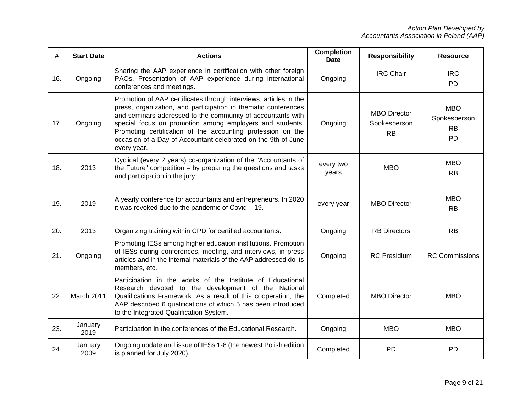| #   | <b>Start Date</b> | <b>Actions</b>                                                                                                                                                                                                                                                                                                                                                                                                | <b>Completion</b><br><b>Date</b> | <b>Responsibility</b>                            | <b>Resource</b>                               |
|-----|-------------------|---------------------------------------------------------------------------------------------------------------------------------------------------------------------------------------------------------------------------------------------------------------------------------------------------------------------------------------------------------------------------------------------------------------|----------------------------------|--------------------------------------------------|-----------------------------------------------|
| 16. | Ongoing           | Sharing the AAP experience in certification with other foreign<br>PAOs. Presentation of AAP experience during international<br>conferences and meetings.                                                                                                                                                                                                                                                      | Ongoing                          | <b>IRC Chair</b>                                 | <b>IRC</b><br>PD                              |
| 17. | Ongoing           | Promotion of AAP certificates through interviews, articles in the<br>press, organization, and participation in thematic conferences<br>and seminars addressed to the community of accountants with<br>special focus on promotion among employers and students.<br>Promoting certification of the accounting profession on the<br>occasion of a Day of Accountant celebrated on the 9th of June<br>every year. | Ongoing                          | <b>MBO Director</b><br>Spokesperson<br><b>RB</b> | <b>MBO</b><br>Spokesperson<br><b>RB</b><br>PD |
| 18. | 2013              | Cyclical (every 2 years) co-organization of the "Accountants of<br>the Future" competition $-$ by preparing the questions and tasks<br>and participation in the jury.                                                                                                                                                                                                                                         | every two<br>years               | <b>MBO</b>                                       | <b>MBO</b><br><b>RB</b>                       |
| 19. | 2019              | A yearly conference for accountants and entrepreneurs. In 2020<br>it was revoked due to the pandemic of Covid $-19$ .                                                                                                                                                                                                                                                                                         | every year                       | <b>MBO Director</b>                              | <b>MBO</b><br><b>RB</b>                       |
| 20. | 2013              | Organizing training within CPD for certified accountants.                                                                                                                                                                                                                                                                                                                                                     | Ongoing                          | <b>RB Directors</b>                              | RB                                            |
| 21. | Ongoing           | Promoting IESs among higher education institutions. Promotion<br>of IESs during conferences, meeting, and interviews, in press<br>articles and in the internal materials of the AAP addressed do its<br>members, etc.                                                                                                                                                                                         | Ongoing                          | <b>RC</b> Presidium                              | <b>RC Commissions</b>                         |
| 22. | March 2011        | Participation in the works of the Institute of Educational<br>Research devoted to the development of the National<br>Qualifications Framework. As a result of this cooperation, the<br>AAP described 6 qualifications of which 5 has been introduced<br>to the Integrated Qualification System.                                                                                                               | Completed                        | <b>MBO Director</b>                              | <b>MBO</b>                                    |
| 23. | January<br>2019   | Participation in the conferences of the Educational Research.                                                                                                                                                                                                                                                                                                                                                 | Ongoing                          | <b>MBO</b>                                       | <b>MBO</b>                                    |
| 24. | January<br>2009   | Ongoing update and issue of IESs 1-8 (the newest Polish edition<br>is planned for July 2020).                                                                                                                                                                                                                                                                                                                 | Completed                        | PD                                               | PD                                            |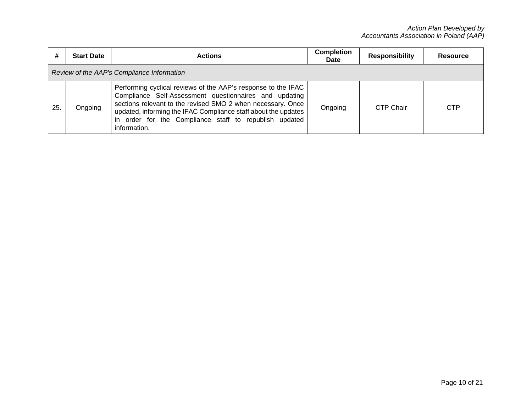| #   | <b>Start Date</b>                          | <b>Actions</b>                                                                                                                                                                                                                                                                                                                     | <b>Completion</b><br><b>Date</b> | <b>Responsibility</b> | <b>Resource</b> |
|-----|--------------------------------------------|------------------------------------------------------------------------------------------------------------------------------------------------------------------------------------------------------------------------------------------------------------------------------------------------------------------------------------|----------------------------------|-----------------------|-----------------|
|     | Review of the AAP's Compliance Information |                                                                                                                                                                                                                                                                                                                                    |                                  |                       |                 |
| 25. | Ongoing                                    | Performing cyclical reviews of the AAP's response to the IFAC<br>Compliance Self-Assessment questionnaires and updating<br>sections relevant to the revised SMO 2 when necessary. Once<br>updated, informing the IFAC Compliance staff about the updates<br>in order for the Compliance staff to republish updated<br>information. | Ongoing                          | <b>CTP Chair</b>      | CTP             |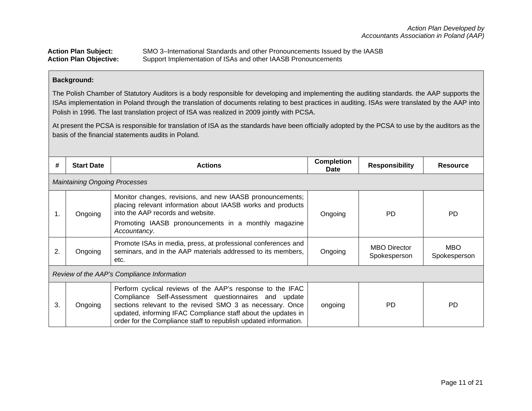## Action Plan Subject: SMO 3–International Standards and other Pronouncements Issued by the IAASB<br>Action Plan Objective: Support Implementation of ISAs and other IAASB Pronouncements Support Implementation of ISAs and other IAASB Pronouncements

## **Background:**

The Polish Chamber of Statutory Auditors is a body responsible for developing and implementing the auditing standards. the AAP supports the ISAs implementation in Poland through the translation of documents relating to best practices in auditing. ISAs were translated by the AAP into Polish in 1996. The last translation project of ISA was realized in 2009 jointly with PCSA.

At present the PCSA is responsible for translation of ISA as the standards have been officially adopted by the PCSA to use by the auditors as the basis of the financial statements audits in Poland.

| #  | <b>Start Date</b>                          | <b>Actions</b>                                                                                                                                                                                                                                                                                                       | <b>Completion</b><br>Date | <b>Responsibility</b>               | <b>Resource</b>            |
|----|--------------------------------------------|----------------------------------------------------------------------------------------------------------------------------------------------------------------------------------------------------------------------------------------------------------------------------------------------------------------------|---------------------------|-------------------------------------|----------------------------|
|    | <b>Maintaining Ongoing Processes</b>       |                                                                                                                                                                                                                                                                                                                      |                           |                                     |                            |
| 1. | Ongoing                                    | Monitor changes, revisions, and new IAASB pronouncements;<br>placing relevant information about IAASB works and products<br>into the AAP records and website.<br>Promoting IAASB pronouncements in a monthly magazine<br>Accountancy.                                                                                | Ongoing                   | PD.                                 | PD.                        |
| 2. | Ongoing                                    | Promote ISAs in media, press, at professional conferences and<br>seminars, and in the AAP materials addressed to its members,<br>etc.                                                                                                                                                                                | Ongoing                   | <b>MBO Director</b><br>Spokesperson | <b>MBO</b><br>Spokesperson |
|    | Review of the AAP's Compliance Information |                                                                                                                                                                                                                                                                                                                      |                           |                                     |                            |
| 3. | Ongoing                                    | Perform cyclical reviews of the AAP's response to the IFAC<br>Compliance Self-Assessment questionnaires and update<br>sections relevant to the revised SMO 3 as necessary. Once<br>updated, informing IFAC Compliance staff about the updates in<br>order for the Compliance staff to republish updated information. | ongoing                   | PD.                                 | PD                         |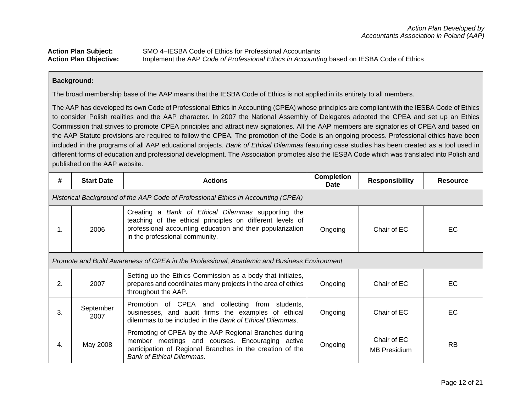| <b>Action Plan Subject:</b>   | SMO 4-IESBA Code of Ethics for Professional Accountants                                   |
|-------------------------------|-------------------------------------------------------------------------------------------|
| <b>Action Plan Objective:</b> | Implement the AAP Code of Professional Ethics in Accounting based on IESBA Code of Ethics |

## **Background:**

The broad membership base of the AAP means that the IESBA Code of Ethics is not applied in its entirety to all members.

The AAP has developed its own Code of Professional Ethics in Accounting (CPEA) whose principles are compliant with the IESBA Code of Ethics to consider Polish realities and the AAP character. In 2007 the National Assembly of Delegates adopted the CPEA and set up an Ethics Commission that strives to promote CPEA principles and attract new signatories. All the AAP members are signatories of CPEA and based on the AAP Statute provisions are required to follow the CPEA. The promotion of the Code is an ongoing process. Professional ethics have been included in the programs of all AAP educational projects. *Bank of Ethical Dilemmas* featuring case studies has been created as a tool used in different forms of education and professional development. The Association promotes also the IESBA Code which was translated into Polish and published on the AAP website.

| #  | <b>Start Date</b>                                                                 | <b>Actions</b>                                                                                                                                                                                                  | <b>Completion</b><br>Date | <b>Responsibility</b>              | <b>Resource</b> |  |  |
|----|-----------------------------------------------------------------------------------|-----------------------------------------------------------------------------------------------------------------------------------------------------------------------------------------------------------------|---------------------------|------------------------------------|-----------------|--|--|
|    | Historical Background of the AAP Code of Professional Ethics in Accounting (CPEA) |                                                                                                                                                                                                                 |                           |                                    |                 |  |  |
| 1. | 2006                                                                              | Creating a Bank of Ethical Dilemmas supporting the<br>teaching of the ethical principles on different levels of<br>professional accounting education and their popularization<br>in the professional community. | Ongoing                   | Chair of EC                        | EC.             |  |  |
|    |                                                                                   | Promote and Build Awareness of CPEA in the Professional, Academic and Business Environment                                                                                                                      |                           |                                    |                 |  |  |
| 2. | 2007                                                                              | Setting up the Ethics Commission as a body that initiates,<br>prepares and coordinates many projects in the area of ethics<br>throughout the AAP.                                                               | Ongoing                   | Chair of EC                        | EC.             |  |  |
| 3. | September<br>2007                                                                 | Promotion of CPEA and collecting from students,<br>businesses, and audit firms the examples of ethical<br>dilemmas to be included in the Bank of Ethical Dilemmas.                                              | Ongoing                   | Chair of EC                        | EC.             |  |  |
| 4. | May 2008                                                                          | Promoting of CPEA by the AAP Regional Branches during<br>member meetings and courses. Encouraging active<br>participation of Regional Branches in the creation of the<br><b>Bank of Ethical Dilemmas.</b>       | Ongoing                   | Chair of EC<br><b>MB Presidium</b> | <b>RB</b>       |  |  |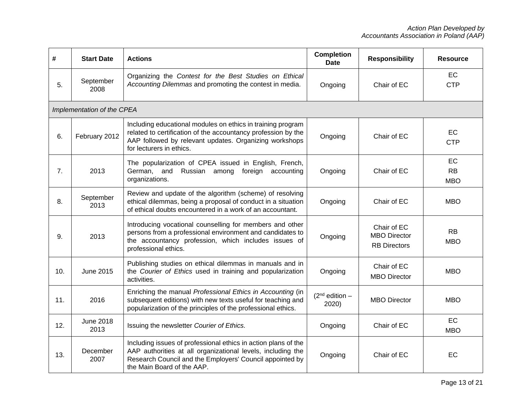| #   | <b>Start Date</b>          | <b>Actions</b>                                                                                                                                                                                                          | <b>Completion</b><br><b>Date</b>    | <b>Responsibility</b>                                     | <b>Resource</b>               |
|-----|----------------------------|-------------------------------------------------------------------------------------------------------------------------------------------------------------------------------------------------------------------------|-------------------------------------|-----------------------------------------------------------|-------------------------------|
| 5.  | September<br>2008          | Organizing the Contest for the Best Studies on Ethical<br>Accounting Dilemmas and promoting the contest in media.                                                                                                       | Ongoing                             | Chair of EC                                               | EC<br><b>CTP</b>              |
|     | Implementation of the CPEA |                                                                                                                                                                                                                         |                                     |                                                           |                               |
| 6.  | February 2012              | Including educational modules on ethics in training program<br>related to certification of the accountancy profession by the<br>AAP followed by relevant updates. Organizing workshops<br>for lecturers in ethics.      | Ongoing                             | Chair of EC                                               | EC<br><b>CTP</b>              |
| 7.  | 2013                       | The popularization of CPEA issued in English, French,<br>German, and<br>Russian among<br>foreign accounting<br>organizations.                                                                                           | Ongoing                             | Chair of EC                                               | EC<br><b>RB</b><br><b>MBO</b> |
| 8.  | September<br>2013          | Review and update of the algorithm (scheme) of resolving<br>ethical dilemmas, being a proposal of conduct in a situation<br>of ethical doubts encountered in a work of an accountant.                                   | Ongoing                             | Chair of EC                                               | <b>MBO</b>                    |
| 9.  | 2013                       | Introducing vocational counselling for members and other<br>persons from a professional environment and candidates to<br>the accountancy profession, which includes issues of<br>professional ethics.                   | Ongoing                             | Chair of EC<br><b>MBO Director</b><br><b>RB Directors</b> | <b>RB</b><br><b>MBO</b>       |
| 10. | <b>June 2015</b>           | Publishing studies on ethical dilemmas in manuals and in<br>the Courier of Ethics used in training and popularization<br>activities.                                                                                    | Ongoing                             | Chair of EC<br><b>MBO Director</b>                        | <b>MBO</b>                    |
| 11. | 2016                       | Enriching the manual Professional Ethics in Accounting (in<br>subsequent editions) with new texts useful for teaching and<br>popularization of the principles of the professional ethics.                               | (2 <sup>nd</sup> edition –<br>2020) | <b>MBO Director</b>                                       | <b>MBO</b>                    |
| 12. | <b>June 2018</b><br>2013   | Issuing the newsletter Courier of Ethics.                                                                                                                                                                               | Ongoing                             | Chair of EC                                               | EC<br><b>MBO</b>              |
| 13. | December<br>2007           | Including issues of professional ethics in action plans of the<br>AAP authorities at all organizational levels, including the<br>Research Council and the Employers' Council appointed by<br>the Main Board of the AAP. | Ongoing                             | Chair of EC                                               | EC                            |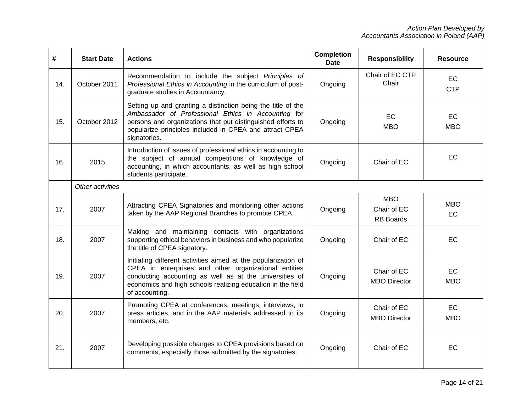| #   | <b>Start Date</b> | <b>Actions</b>                                                                                                                                                                                                                                                      | <b>Completion</b><br><b>Date</b> | <b>Responsibility</b>                         | <b>Resource</b>         |
|-----|-------------------|---------------------------------------------------------------------------------------------------------------------------------------------------------------------------------------------------------------------------------------------------------------------|----------------------------------|-----------------------------------------------|-------------------------|
| 14. | October 2011      | Recommendation to include the subject Principles of<br>Professional Ethics in Accounting in the curriculum of post-<br>graduate studies in Accountancy.                                                                                                             | Ongoing                          | Chair of EC CTP<br>Chair                      | <b>EC</b><br><b>CTP</b> |
| 15. | October 2012      | Setting up and granting a distinction being the title of the<br>Ambassador of Professional Ethics in Accounting for<br>persons and organizations that put distinguished efforts to<br>popularize principles included in CPEA and attract CPEA<br>signatories.       | Ongoing                          | EC<br><b>MBO</b>                              | <b>EC</b><br><b>MBO</b> |
| 16. | 2015              | Introduction of issues of professional ethics in accounting to<br>the subject of annual competitions of knowledge of<br>accounting, in which accountants, as well as high school<br>students participate.                                                           | Ongoing                          | Chair of EC                                   | EC                      |
|     | Other activities  |                                                                                                                                                                                                                                                                     |                                  |                                               |                         |
| 17. | 2007              | Attracting CPEA Signatories and monitoring other actions<br>taken by the AAP Regional Branches to promote CPEA.                                                                                                                                                     | Ongoing                          | <b>MBO</b><br>Chair of EC<br><b>RB</b> Boards | <b>MBO</b><br>EC        |
| 18. | 2007              | Making and maintaining contacts with organizations<br>supporting ethical behaviors in business and who popularize<br>the title of CPEA signatory.                                                                                                                   | Ongoing                          | Chair of EC                                   | EC                      |
| 19. | 2007              | Initiating different activities aimed at the popularization of<br>CPEA in enterprises and other organizational entities<br>conducting accounting as well as at the universities of<br>economics and high schools realizing education in the field<br>of accounting. | Ongoing                          | Chair of EC<br><b>MBO Director</b>            | EC<br><b>MBO</b>        |
| 20. | 2007              | Promoting CPEA at conferences, meetings, interviews, in<br>press articles, and in the AAP materials addressed to its<br>members, etc.                                                                                                                               | Ongoing                          | Chair of EC<br><b>MBO Director</b>            | <b>EC</b><br><b>MBO</b> |
| 21. | 2007              | Developing possible changes to CPEA provisions based on<br>comments, especially those submitted by the signatories.                                                                                                                                                 | Ongoing                          | Chair of EC                                   | EC                      |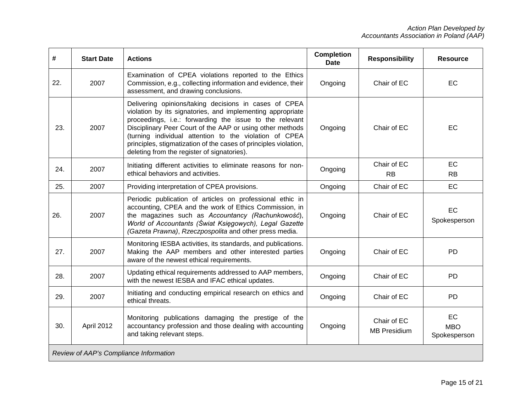| #   | <b>Start Date</b> | <b>Actions</b>                                                                                                                                                                                                                                                                                                                                                                                                           | <b>Completion</b><br><b>Date</b> | <b>Responsibility</b>              | <b>Resource</b>                  |
|-----|-------------------|--------------------------------------------------------------------------------------------------------------------------------------------------------------------------------------------------------------------------------------------------------------------------------------------------------------------------------------------------------------------------------------------------------------------------|----------------------------------|------------------------------------|----------------------------------|
| 22. | 2007              | Examination of CPEA violations reported to the Ethics<br>Commission, e.g., collecting information and evidence, their<br>assessment, and drawing conclusions.                                                                                                                                                                                                                                                            | Ongoing                          | Chair of EC                        | EC                               |
| 23. | 2007              | Delivering opinions/taking decisions in cases of CPEA<br>violation by its signatories, and implementing appropriate<br>proceedings, i.e.: forwarding the issue to the relevant<br>Disciplinary Peer Court of the AAP or using other methods<br>(turning individual attention to the violation of CPEA<br>principles, stigmatization of the cases of principles violation,<br>deleting from the register of signatories). | Ongoing                          | Chair of EC                        | <b>EC</b>                        |
| 24. | 2007              | Initiating different activities to eliminate reasons for non-<br>ethical behaviors and activities.                                                                                                                                                                                                                                                                                                                       | Ongoing                          | Chair of EC<br><b>RB</b>           | EC<br><b>RB</b>                  |
| 25. | 2007              | Providing interpretation of CPEA provisions.                                                                                                                                                                                                                                                                                                                                                                             | Ongoing                          | Chair of EC                        | EC                               |
| 26. | 2007              | Periodic publication of articles on professional ethic in<br>accounting, CPEA and the work of Ethics Commission, in<br>the magazines such as Accountancy (Rachunkowość),<br>World of Accountants (Świat Księgowych), Legal Gazette<br>(Gazeta Prawna), Rzeczpospolita and other press media.                                                                                                                             | Ongoing                          | Chair of EC                        | EC<br>Spokesperson               |
| 27. | 2007              | Monitoring IESBA activities, its standards, and publications.<br>Making the AAP members and other interested parties<br>aware of the newest ethical requirements.                                                                                                                                                                                                                                                        | Ongoing                          | Chair of EC                        | <b>PD</b>                        |
| 28. | 2007              | Updating ethical requirements addressed to AAP members,<br>with the newest IESBA and IFAC ethical updates.                                                                                                                                                                                                                                                                                                               | Ongoing                          | Chair of EC                        | <b>PD</b>                        |
| 29. | 2007              | Initiating and conducting empirical research on ethics and<br>ethical threats.                                                                                                                                                                                                                                                                                                                                           | Ongoing                          | Chair of EC                        | PD                               |
| 30. | April 2012        | Monitoring publications damaging the prestige of the<br>accountancy profession and those dealing with accounting<br>and taking relevant steps.                                                                                                                                                                                                                                                                           | Ongoing                          | Chair of EC<br><b>MB Presidium</b> | EC<br><b>MBO</b><br>Spokesperson |
|     |                   | Review of AAP's Compliance Information                                                                                                                                                                                                                                                                                                                                                                                   |                                  |                                    |                                  |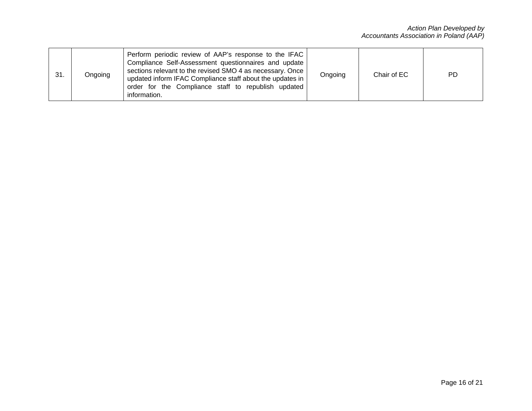| 31. | Ongoing | Perform periodic review of AAP's response to the IFAC<br>Compliance Self-Assessment questionnaires and update<br>sections relevant to the revised SMO 4 as necessary. Once<br>updated inform IFAC Compliance staff about the updates in<br>order for the Compliance staff to republish updated<br>information. | Ongoing | Chair of EC | <b>PD</b> |
|-----|---------|----------------------------------------------------------------------------------------------------------------------------------------------------------------------------------------------------------------------------------------------------------------------------------------------------------------|---------|-------------|-----------|
|-----|---------|----------------------------------------------------------------------------------------------------------------------------------------------------------------------------------------------------------------------------------------------------------------------------------------------------------------|---------|-------------|-----------|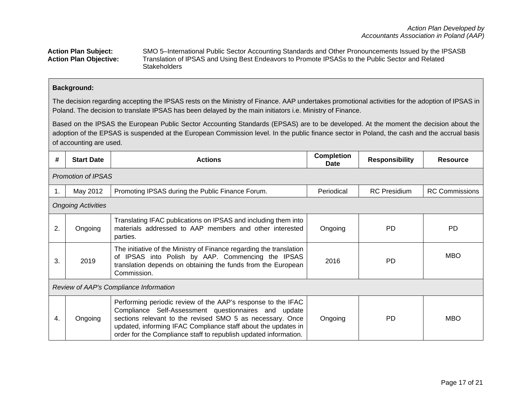Action Plan Subject: SMO 5–International Public Sector Accounting Standards and Other Pronouncements Issued by the IPSASB<br>Action Plan Objective: Translation of IPSAS and Using Best Endeavors to Promote IPSASs to the Public Translation of IPSAS and Using Best Endeavors to Promote IPSASs to the Public Sector and Related **Stakeholders** 

## **Background:**

The decision regarding accepting the IPSAS rests on the Ministry of Finance. AAP undertakes promotional activities for the adoption of IPSAS in Poland. The decision to translate IPSAS has been delayed by the main initiators i.e. Ministry of Finance.

Based on the IPSAS the European Public Sector Accounting Standards (EPSAS) are to be developed. At the moment the decision about the adoption of the EPSAS is suspended at the European Commission level. In the public finance sector in Poland, the cash and the accrual basis of accounting are used.

| #  | <b>Start Date</b>                      | <b>Actions</b>                                                                                                                                                                                                                                                                                                         | <b>Completion</b><br><b>Date</b> | <b>Responsibility</b> | <b>Resource</b>       |  |  |
|----|----------------------------------------|------------------------------------------------------------------------------------------------------------------------------------------------------------------------------------------------------------------------------------------------------------------------------------------------------------------------|----------------------------------|-----------------------|-----------------------|--|--|
|    | <b>Promotion of IPSAS</b>              |                                                                                                                                                                                                                                                                                                                        |                                  |                       |                       |  |  |
| 1. | May 2012                               | Promoting IPSAS during the Public Finance Forum.                                                                                                                                                                                                                                                                       | Periodical                       | <b>RC</b> Presidium   | <b>RC Commissions</b> |  |  |
|    | <b>Ongoing Activities</b>              |                                                                                                                                                                                                                                                                                                                        |                                  |                       |                       |  |  |
| 2. | Ongoing                                | Translating IFAC publications on IPSAS and including them into<br>materials addressed to AAP members and other interested<br>parties.                                                                                                                                                                                  | Ongoing                          | <b>PD</b>             | PD.                   |  |  |
| 3. | 2019                                   | The initiative of the Ministry of Finance regarding the translation<br>IPSAS into Polish by AAP. Commencing the IPSAS<br>οf<br>translation depends on obtaining the funds from the European<br>Commission.                                                                                                             | 2016                             | PD.                   | <b>MBO</b>            |  |  |
|    | Review of AAP's Compliance Information |                                                                                                                                                                                                                                                                                                                        |                                  |                       |                       |  |  |
| 4. | Ongoing                                | Performing periodic review of the AAP's response to the IFAC<br>Compliance Self-Assessment questionnaires and update<br>sections relevant to the revised SMO 5 as necessary. Once<br>updated, informing IFAC Compliance staff about the updates in<br>order for the Compliance staff to republish updated information. | Ongoing                          | PD.                   | <b>MBO</b>            |  |  |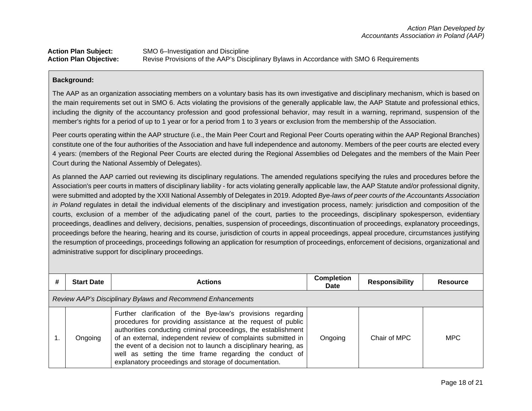**Action Plan Subject:** SMO 6–Investigation and Discipline Action Plan Objective: Revise Provisions of the AAP's Disciplinary Bylaws in Accordance with SMO 6 Requirements

#### **Background:**

The AAP as an organization associating members on a voluntary basis has its own investigative and disciplinary mechanism, which is based on the main requirements set out in SMO 6. Acts violating the provisions of the generally applicable law, the AAP Statute and professional ethics, including the dignity of the accountancy profession and good professional behavior, may result in a warning, reprimand, suspension of the member's rights for a period of up to 1 year or for a period from 1 to 3 years or exclusion from the membership of the Association.

Peer courts operating within the AAP structure (i.e., the Main Peer Court and Regional Peer Courts operating within the AAP Regional Branches) constitute one of the four authorities of the Association and have full independence and autonomy. Members of the peer courts are elected every 4 years: (members of the Regional Peer Courts are elected during the Regional Assemblies od Delegates and the members of the Main Peer Court during the National Assembly of Delegates).

As planned the AAP carried out reviewing its disciplinary regulations. The amended regulations specifying the rules and procedures before the Association's peer courts in matters of disciplinary liability - for acts violating generally applicable law, the AAP Statute and/or professional dignity, were submitted and adopted by the XXII National Assembly of Delegates in 2019. Adopted *Bye-laws of peer courts of the Accountants Association in Poland* regulates in detail the individual elements of the disciplinary and investigation process, namely: jurisdiction and composition of the courts, exclusion of a member of the adjudicating panel of the court, parties to the proceedings, disciplinary spokesperson, evidentiary proceedings, deadlines and delivery, decisions, penalties, suspension of proceedings, discontinuation of proceedings, explanatory proceedings, proceedings before the hearing, hearing and its course, jurisdiction of courts in appeal proceedings, appeal procedure, circumstances justifying the resumption of proceedings, proceedings following an application for resumption of proceedings, enforcement of decisions, organizational and administrative support for disciplinary proceedings.

| <b>Start Date</b>                                           | <b>Actions</b>                                                                                                                                                                                                                                                                                                                                                                                                                                         | <b>Completion</b><br>Date | <b>Responsibility</b> | Resource   |  |
|-------------------------------------------------------------|--------------------------------------------------------------------------------------------------------------------------------------------------------------------------------------------------------------------------------------------------------------------------------------------------------------------------------------------------------------------------------------------------------------------------------------------------------|---------------------------|-----------------------|------------|--|
| Review AAP's Disciplinary Bylaws and Recommend Enhancements |                                                                                                                                                                                                                                                                                                                                                                                                                                                        |                           |                       |            |  |
| Ongoing                                                     | Further clarification of the Bye-law's provisions regarding<br>procedures for providing assistance at the request of public<br>authorities conducting criminal proceedings, the establishment<br>of an external, independent review of complaints submitted in<br>the event of a decision not to launch a disciplinary hearing, as<br>well as setting the time frame regarding the conduct of<br>explanatory proceedings and storage of documentation. | Ongoing                   | Chair of MPC          | <b>MPC</b> |  |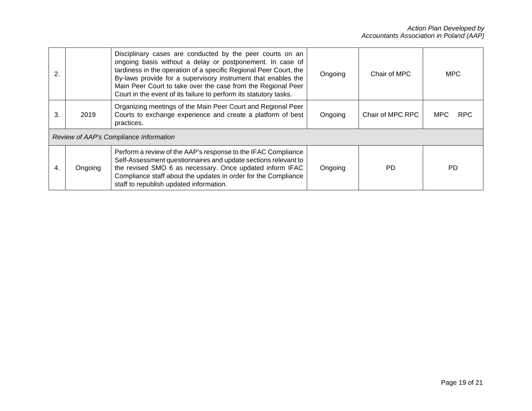| 2. |                                        | Disciplinary cases are conducted by the peer courts on an<br>ongoing basis without a delay or postponement. In case of<br>tardiness in the operation of a specific Regional Peer Court, the<br>By-laws provide for a supervisory instrument that enables the<br>Main Peer Court to take over the case from the Regional Peer<br>Court in the event of its failure to perform its statutory tasks. | Ongoing | Chair of MPC     | <b>MPC</b>         |  |
|----|----------------------------------------|---------------------------------------------------------------------------------------------------------------------------------------------------------------------------------------------------------------------------------------------------------------------------------------------------------------------------------------------------------------------------------------------------|---------|------------------|--------------------|--|
| 3. | 2019                                   | Organizing meetings of the Main Peer Court and Regional Peer<br>Courts to exchange experience and create a platform of best<br>practices.                                                                                                                                                                                                                                                         | Ongoing | Chair of MPC RPC | <b>RPC</b><br>MPC. |  |
|    | Review of AAP's Compliance Information |                                                                                                                                                                                                                                                                                                                                                                                                   |         |                  |                    |  |
| 4. | Ongoing                                | Perform a review of the AAP's response to the IFAC Compliance<br>Self-Assessment questionnaires and update sections relevant to<br>the revised SMO 6 as necessary. Once updated inform IFAC<br>Compliance staff about the updates in order for the Compliance<br>staff to republish updated information.                                                                                          | Ongoing | <b>PD</b>        | <b>PD</b>          |  |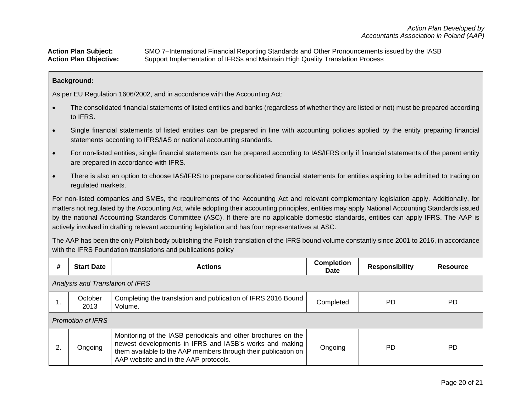Action Plan Subject: SMO 7–International Financial Reporting Standards and Other Pronouncements issued by the IASB<br>Action Plan Objective: Support Implementation of IFRSs and Maintain High Quality Translation Process **Action Plan Objective:** Support Implementation of IFRSs and Maintain High Quality Translation Process

### **Background:**

As per EU Regulation 1606/2002, and in accordance with the Accounting Act:

- The consolidated financial statements of listed entities and banks (regardless of whether they are listed or not) must be prepared according to IFRS.
- Single financial statements of listed entities can be prepared in line with accounting policies applied by the entity preparing financial statements according to IFRS/IAS or national accounting standards.
- For non-listed entities, single financial statements can be prepared according to IAS/IFRS only if financial statements of the parent entity are prepared in accordance with IFRS.
- There is also an option to choose IAS/IFRS to prepare consolidated financial statements for entities aspiring to be admitted to trading on regulated markets.

For non-listed companies and SMEs, the requirements of the Accounting Act and relevant complementary legislation apply. Additionally, for matters not regulated by the Accounting Act, while adopting their accounting principles, entities may apply National Accounting Standards issued by the national Accounting Standards Committee (ASC). If there are no applicable domestic standards, entities can apply IFRS. The AAP is actively involved in drafting relevant accounting legislation and has four representatives at ASC.

The AAP has been the only Polish body publishing the Polish translation of the IFRS bound volume constantly since 2001 to 2016, in accordance with the IFRS Foundation translations and publications policy

| #  | <b>Start Date</b>                | <b>Actions</b>                                                                                                                                                                                                                      | <b>Completion</b><br>Date | <b>Responsibility</b> | <b>Resource</b> |  |  |
|----|----------------------------------|-------------------------------------------------------------------------------------------------------------------------------------------------------------------------------------------------------------------------------------|---------------------------|-----------------------|-----------------|--|--|
|    | Analysis and Translation of IFRS |                                                                                                                                                                                                                                     |                           |                       |                 |  |  |
|    | October<br>2013                  | Completing the translation and publication of IFRS 2016 Bound<br>Volume.                                                                                                                                                            | Completed                 | PD                    | PD              |  |  |
|    | <b>Promotion of IFRS</b>         |                                                                                                                                                                                                                                     |                           |                       |                 |  |  |
| 2. | Ongoing                          | Monitoring of the IASB periodicals and other brochures on the<br>newest developments in IFRS and IASB's works and making<br>them available to the AAP members through their publication on<br>AAP website and in the AAP protocols. | Ongoing                   | <b>PD</b>             | <b>PD</b>       |  |  |